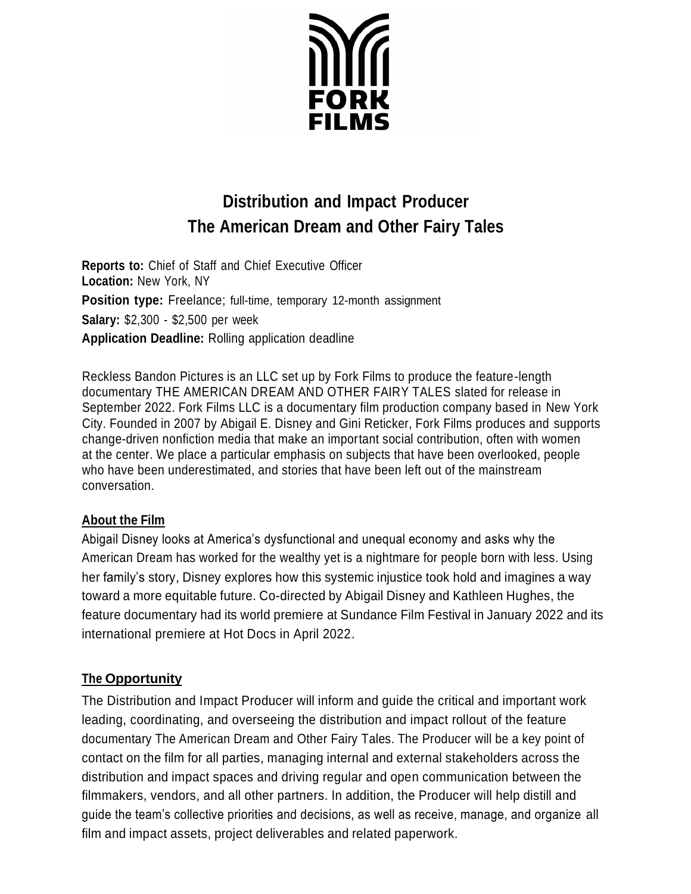

# **Distribution and Impact Producer The American Dream and Other Fairy Tales**

**Reports to:** Chief of Staff and Chief Executive Officer **Location:** New York, NY **Position type:** Freelance; full-time, temporary 12-month assignment **Salary:** \$2,300 - \$2,500 per week **Application Deadline:** Rolling application deadline

Reckless Bandon Pictures is an LLC set up by Fork Films to produce the feature-length documentary THE AMERICAN DREAM AND OTHER FAIRY TALES slated for release in September 2022. Fork Films LLC is a documentary film production company based in New York City. Founded in 2007 by Abigail E. Disney and Gini Reticker, Fork Films produces and supports change-driven nonfiction media that make an important social contribution, often with women at the center. We place a particular emphasis on subjects that have been overlooked, people who have been underestimated, and stories that have been left out of the mainstream conversation.

#### **About the Film**

Abigail Disney looks at America's dysfunctional and unequal economy and asks why the American Dream has worked for the wealthy yet is a nightmare for people born with less. Using her family's story, Disney explores how this systemic injustice took hold and imagines a way toward a more equitable future. Co-directed by Abigail Disney and Kathleen Hughes, the feature documentary had its world premiere at Sundance Film Festival in January 2022 and its international premiere at Hot Docs in April 2022.

## **The Opportunity**

The Distribution and Impact Producer will inform and guide the critical and important work leading, coordinating, and overseeing the distribution and impact rollout of the feature documentary The American Dream and Other Fairy Tales. The Producer will be a key point of contact on the film for all parties, managing internal and external stakeholders across the distribution and impact spaces and driving regular and open communication between the filmmakers, vendors, and all other partners. In addition, the Producer will help distill and guide the team's collective priorities and decisions, as well as receive, manage, and organize all film and impact assets, project deliverables and related paperwork.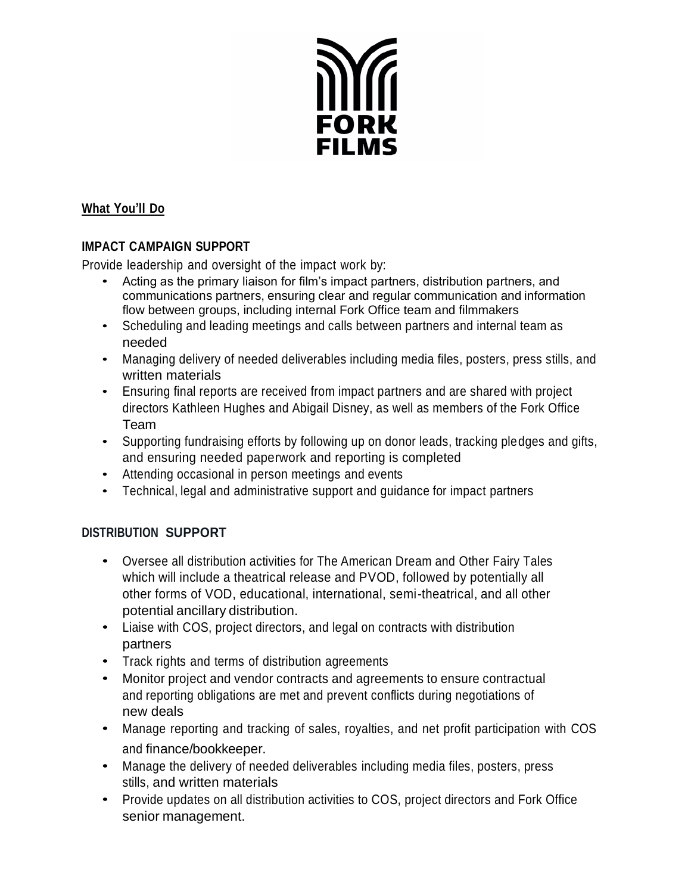

#### **What You'll Do**

#### **IMPACT CAMPAIGN SUPPORT**

Provide leadership and oversight of the impact work by:

- Acting as the primary liaison for film's impact partners, distribution partners, and communications partners, ensuring clear and regular communication and information flow between groups, including internal Fork Office team and filmmakers
- Scheduling and leading meetings and calls between partners and internal team as needed
- Managing delivery of needed deliverables including media files, posters, press stills, and written materials
- Ensuring final reports are received from impact partners and are shared with project directors Kathleen Hughes and Abigail Disney, as well as members of the Fork Office Team
- Supporting fundraising efforts by following up on donor leads, tracking pledges and gifts, and ensuring needed paperwork and reporting is completed
- Attending occasional in person meetings and events
- Technical, legal and administrative support and guidance for impact partners

#### **DISTRIBUTION SUPPORT**

- Oversee all distribution activities for The American Dream and Other Fairy Tales which will include a theatrical release and PVOD, followed by potentially all other forms of VOD, educational, international, semi-theatrical, and all other potential ancillary distribution.
- Liaise with COS, project directors, and legal on contracts with distribution partners
- Track rights and terms of distribution agreements
- Monitor project and vendor contracts and agreements to ensure contractual and reporting obligations are met and prevent conflicts during negotiations of new deals
- Manage reporting and tracking of sales, royalties, and net profit participation with COS and finance/bookkeeper.
- Manage the delivery of needed deliverables including media files, posters, press stills, and written materials
- Provide updates on all distribution activities to COS, project directors and Fork Office senior management.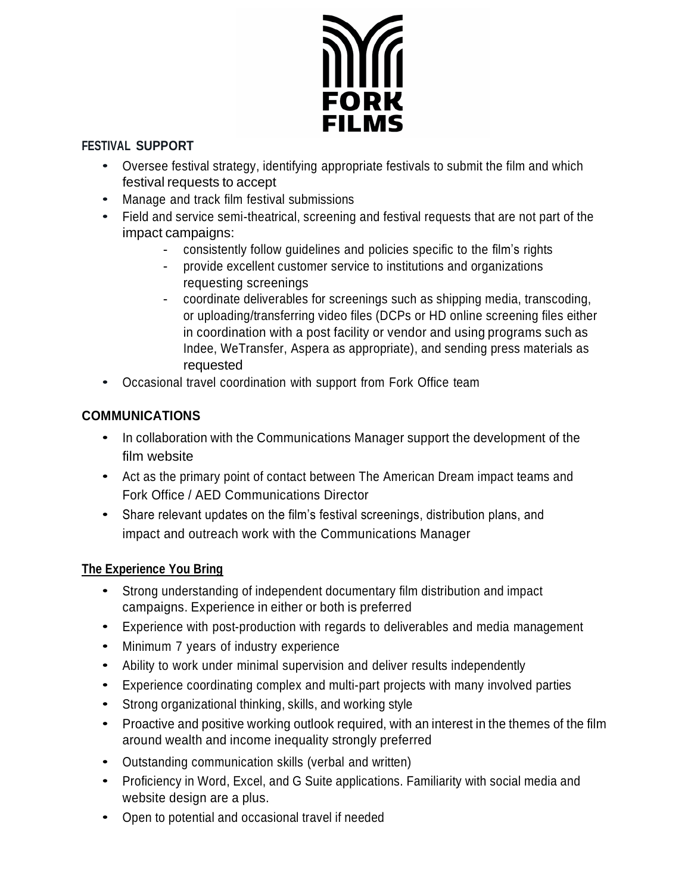

#### **FESTIVAL SUPPORT**

- Oversee festival strategy, identifying appropriate festivals to submit the film and which festival requests to accept
- Manage and track film festival submissions
- Field and service semi-theatrical, screening and festival requests that are not part of the impact campaigns:
	- consistently follow guidelines and policies specific to the film's rights
	- provide excellent customer service to institutions and organizations requesting screenings
	- coordinate deliverables for screenings such as shipping media, transcoding, or uploading/transferring video files (DCPs or HD online screening files either in coordination with a post facility or vendor and using programs such as Indee, WeTransfer, Aspera as appropriate), and sending press materials as requested
- Occasional travel coordination with support from Fork Office team

# **COMMUNICATIONS**

- In collaboration with the Communications Manager support the development of the film website
- Act as the primary point of contact between The American Dream impact teams and Fork Office / AED Communications Director
- Share relevant updates on the film's festival screenings, distribution plans, and impact and outreach work with the Communications Manager

## **The Experience You Bring**

- Strong understanding of independent documentary film distribution and impact campaigns. Experience in either or both is preferred
- Experience with post-production with regards to deliverables and media management
- Minimum <sup>7</sup> years of industry experience
- Ability to work under minimal supervision and deliver results independently
- Experience coordinating complex and multi-part projects with many involved parties
- Strong organizational thinking, skills, and working style
- Proactive and positive working outlook required, with an interest in the themes of the film around wealth and income inequality strongly preferred
- Outstanding communication skills (verbal and written)
- Proficiency in Word, Excel, and <sup>G</sup> Suite applications. Familiarity with social media and website design are a plus.
- Open to potential and occasional travel if needed